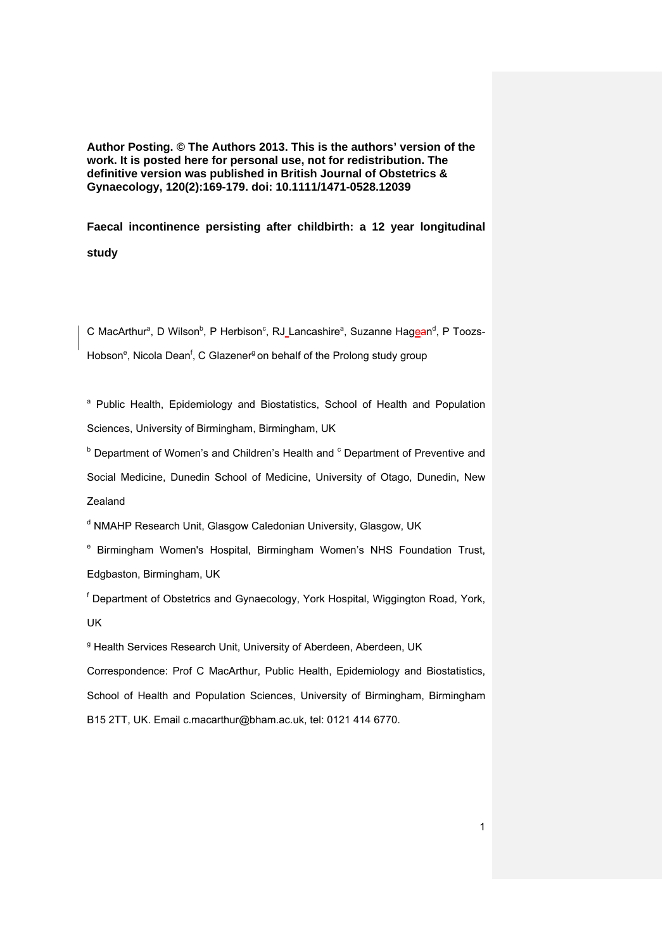**Author Posting. © The Authors 2013. This is the authors' version of the work. It is posted here for personal use, not for redistribution. The definitive version was published in British Journal of Obstetrics & Gynaecology, 120(2):169-179. doi: 10.1111/1471-0528.12039** 

**Faecal incontinence persisting after childbirth: a 12 year longitudinal study** 

C MacArthur<sup>a</sup>, D Wilson<sup>b</sup>, P Herbison<sup>c</sup>, RJ Lancashire<sup>a</sup>, Suzanne Hagean<sup>d</sup>, P Toozs-Hobson<sup>e</sup>, Nicola Dean<sup>f</sup>, C Glazener<sup>g</sup> on behalf of the Prolong study group

<sup>a</sup> Public Health, Epidemiology and Biostatistics, School of Health and Population Sciences, University of Birmingham, Birmingham, UK

<sup>b</sup> Department of Women's and Children's Health and <sup>c</sup> Department of Preventive and Social Medicine, Dunedin School of Medicine, University of Otago, Dunedin, New Zealand

<sup>d</sup> NMAHP Research Unit, Glasgow Caledonian University, Glasgow, UK

<sup>e</sup> Birmingham Women's Hospital, Birmingham Women's NHS Foundation Trust, Edgbaston, Birmingham, UK

<sup>f</sup> Department of Obstetrics and Gynaecology, York Hospital, Wiggington Road, York, UK

<sup>g</sup> Health Services Research Unit, University of Aberdeen, Aberdeen, UK

Correspondence: Prof C MacArthur, Public Health, Epidemiology and Biostatistics, School of Health and Population Sciences, University of Birmingham, Birmingham B15 2TT, UK. Email c.macarthur@bham.ac.uk, tel: 0121 414 6770.

1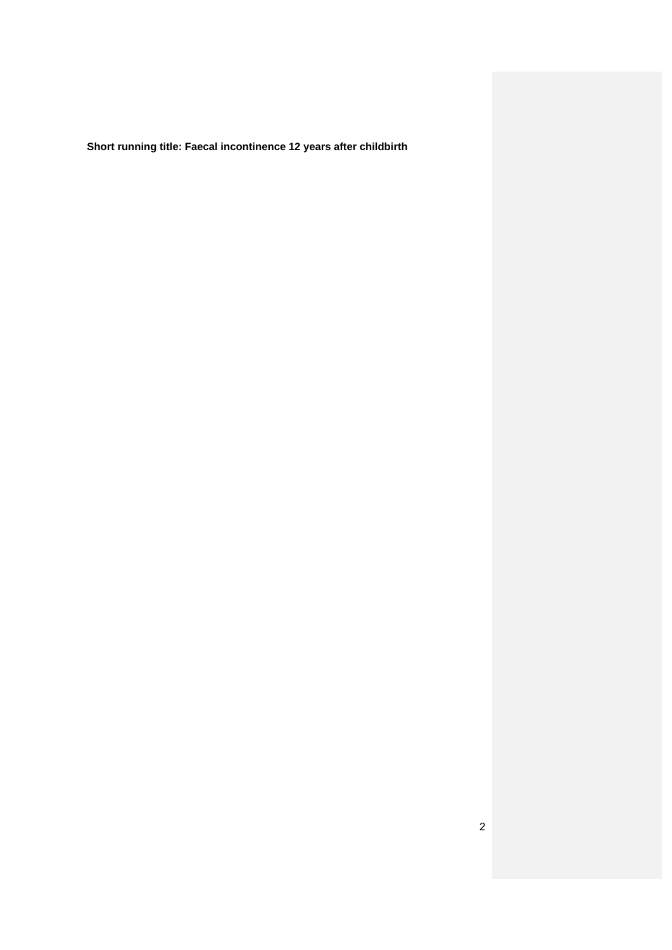**Short running title: Faecal incontinence 12 years after childbirth**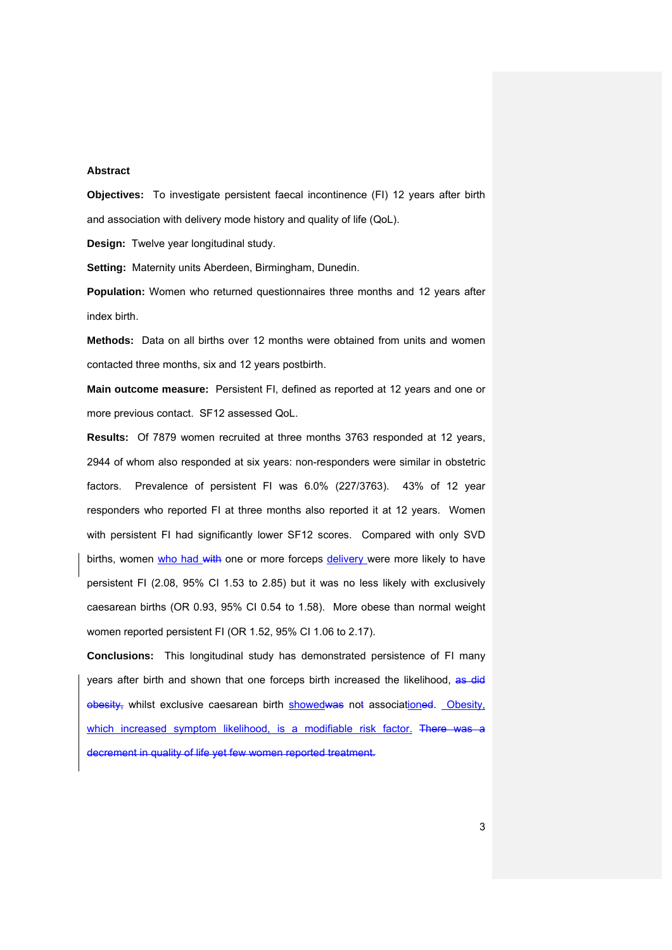### **Abstract**

**Objectives:** To investigate persistent faecal incontinence (FI) 12 years after birth and association with delivery mode history and quality of life (QoL).

**Design:** Twelve year longitudinal study.

**Setting:** Maternity units Aberdeen, Birmingham, Dunedin.

**Population:** Women who returned questionnaires three months and 12 years after index birth.

**Methods:** Data on all births over 12 months were obtained from units and women contacted three months, six and 12 years postbirth.

**Main outcome measure:** Persistent FI, defined as reported at 12 years and one or more previous contact. SF12 assessed QoL.

**Results:** Of 7879 women recruited at three months 3763 responded at 12 years, 2944 of whom also responded at six years: non-responders were similar in obstetric factors. Prevalence of persistent FI was 6.0% (227/3763). 43% of 12 year responders who reported FI at three months also reported it at 12 years. Women with persistent FI had significantly lower SF12 scores. Compared with only SVD births, women who had with one or more forceps delivery were more likely to have persistent FI (2.08, 95% CI 1.53 to 2.85) but it was no less likely with exclusively caesarean births (OR 0.93, 95% CI 0.54 to 1.58). More obese than normal weight women reported persistent FI (OR 1.52, 95% CI 1.06 to 2.17).

**Conclusions:** This longitudinal study has demonstrated persistence of FI many years after birth and shown that one forceps birth increased the likelihood, as did obesity, whilst exclusive caesarean birth showedwas not associationed. Obesity, which increased symptom likelihood, is a modifiable risk factor. There was a decrement in quality of life yet few women reported treatment.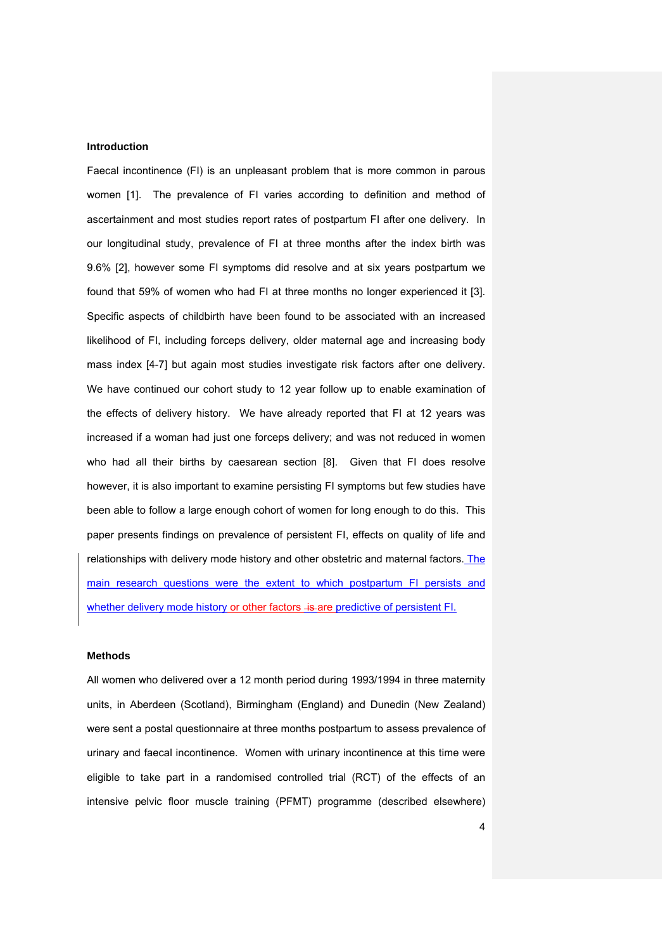## **Introduction**

Faecal incontinence (FI) is an unpleasant problem that is more common in parous women [1]. The prevalence of FI varies according to definition and method of ascertainment and most studies report rates of postpartum FI after one delivery. In our longitudinal study, prevalence of FI at three months after the index birth was 9.6% [2], however some FI symptoms did resolve and at six years postpartum we found that 59% of women who had FI at three months no longer experienced it [3]. Specific aspects of childbirth have been found to be associated with an increased likelihood of FI, including forceps delivery, older maternal age and increasing body mass index [4-7] but again most studies investigate risk factors after one delivery. We have continued our cohort study to 12 year follow up to enable examination of the effects of delivery history. We have already reported that FI at 12 years was increased if a woman had just one forceps delivery; and was not reduced in women who had all their births by caesarean section [8]. Given that FI does resolve however, it is also important to examine persisting FI symptoms but few studies have been able to follow a large enough cohort of women for long enough to do this. This paper presents findings on prevalence of persistent FI, effects on quality of life and relationships with delivery mode history and other obstetric and maternal factors. The main research questions were the extent to which postpartum FI persists and whether delivery mode history or other factors  $+$ s-are predictive of persistent FI.

#### **Methods**

All women who delivered over a 12 month period during 1993/1994 in three maternity units, in Aberdeen (Scotland), Birmingham (England) and Dunedin (New Zealand) were sent a postal questionnaire at three months postpartum to assess prevalence of urinary and faecal incontinence. Women with urinary incontinence at this time were eligible to take part in a randomised controlled trial (RCT) of the effects of an intensive pelvic floor muscle training (PFMT) programme (described elsewhere)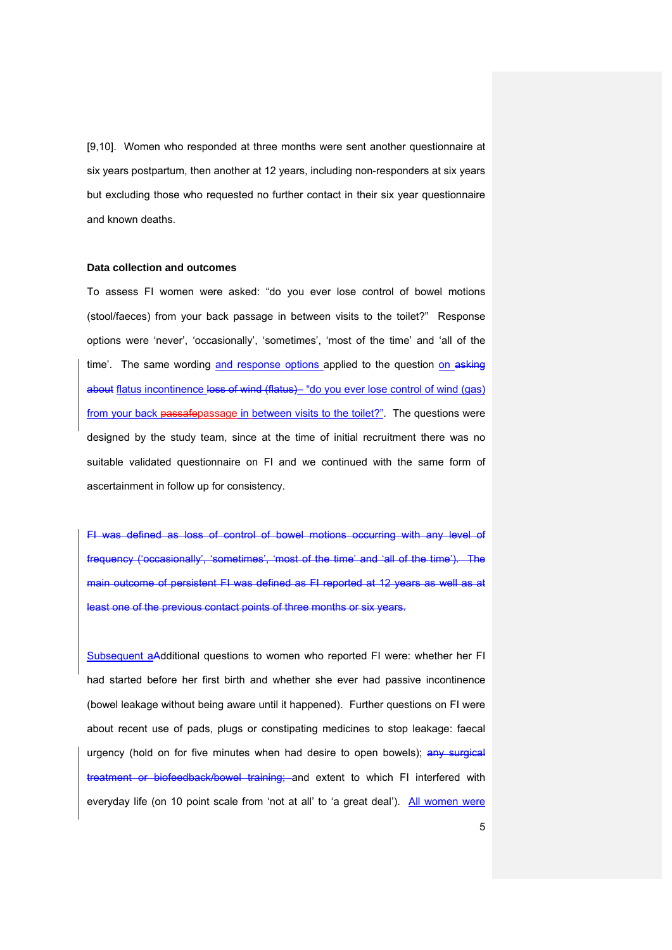[9,10]. Women who responded at three months were sent another questionnaire at six years postpartum, then another at 12 years, including non-responders at six years but excluding those who requested no further contact in their six year questionnaire and known deaths.

### **Data collection and outcomes**

To assess FI women were asked: "do you ever lose control of bowel motions (stool/faeces) from your back passage in between visits to the toilet?" Response options were 'never', 'occasionally', 'sometimes', 'most of the time' and 'all of the time'. The same wording and response options applied to the question on asking about flatus incontinence loss of wind (flatus)– "do you ever lose control of wind (gas) from your back passafepassage in between visits to the toilet?". The questions were designed by the study team, since at the time of initial recruitment there was no suitable validated questionnaire on FI and we continued with the same form of ascertainment in follow up for consistency.

FI was defined as loss of control of bowel motions occurring with any level of frequency ('occasionally', 'sometimes', 'most of the time' and 'all of the time'). The main outcome of persistent FI was defined as FI reported at 12 years as well as at least one of the previous contact points of three months or six years.

Subsequent aAdditional questions to women who reported FI were: whether her FI had started before her first birth and whether she ever had passive incontinence (bowel leakage without being aware until it happened). Further questions on FI were about recent use of pads, plugs or constipating medicines to stop leakage: faecal urgency (hold on for five minutes when had desire to open bowels); any surgical treatment or biofeedback/bowel training; and extent to which FI interfered with everyday life (on 10 point scale from 'not at all' to 'a great deal'). All women were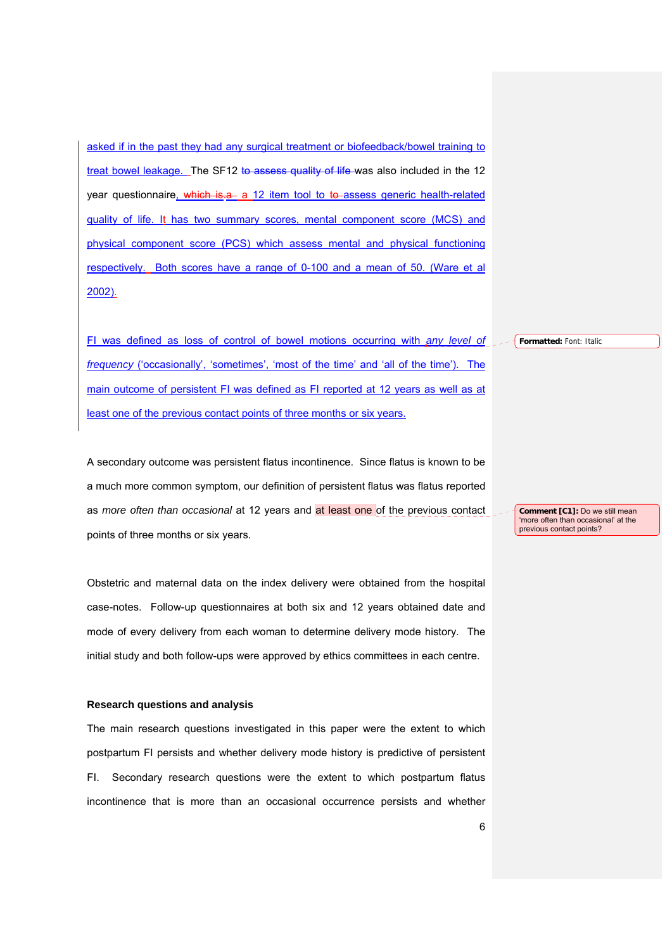asked if in the past they had any surgical treatment or biofeedback/bowel training to treat bowel leakage. The SF12 to assess quality of life was also included in the 12 year questionnaire, which is.a. a 12 item tool to to assess generic health-related quality of life. It has two summary scores, mental component score (MCS) and physical component score (PCS) which assess mental and physical functioning respectively. Both scores have a range of 0-100 and a mean of 50. (Ware et al 2002).

FI was defined as loss of control of bowel motions occurring with *any level of frequency* ('occasionally', 'sometimes', 'most of the time' and 'all of the time'). The main outcome of persistent FI was defined as FI reported at 12 years as well as at least one of the previous contact points of three months or six years.

A secondary outcome was persistent flatus incontinence. Since flatus is known to be a much more common symptom, our definition of persistent flatus was flatus reported as *more often than occasional* at 12 years and at least one of the previous contact points of three months or six years.

Obstetric and maternal data on the index delivery were obtained from the hospital case-notes. Follow-up questionnaires at both six and 12 years obtained date and mode of every delivery from each woman to determine delivery mode history. The initial study and both follow-ups were approved by ethics committees in each centre.

#### **Research questions and analysis**

The main research questions investigated in this paper were the extent to which postpartum FI persists and whether delivery mode history is predictive of persistent FI. Secondary research questions were the extent to which postpartum flatus incontinence that is more than an occasional occurrence persists and whether **Formatted:** Font: Italic

**Comment [C1]:** Do we still mean 'more often than occasional' at the previous contact points?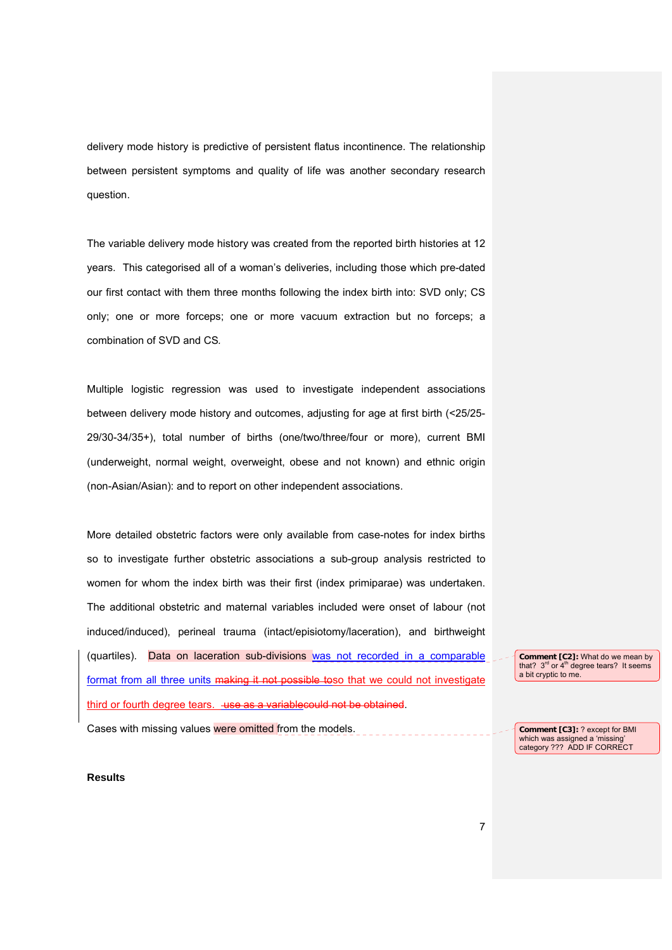delivery mode history is predictive of persistent flatus incontinence. The relationship between persistent symptoms and quality of life was another secondary research question.

The variable delivery mode history was created from the reported birth histories at 12 years. This categorised all of a woman's deliveries, including those which pre-dated our first contact with them three months following the index birth into: SVD only; CS only; one or more forceps; one or more vacuum extraction but no forceps; a combination of SVD and CS*.*

Multiple logistic regression was used to investigate independent associations between delivery mode history and outcomes, adjusting for age at first birth (<25/25- 29/30-34/35+), total number of births (one/two/three/four or more), current BMI (underweight, normal weight, overweight, obese and not known) and ethnic origin (non-Asian/Asian): and to report on other independent associations.

More detailed obstetric factors were only available from case-notes for index births so to investigate further obstetric associations a sub-group analysis restricted to women for whom the index birth was their first (index primiparae) was undertaken. The additional obstetric and maternal variables included were onset of labour (not induced/induced), perineal trauma (intact/episiotomy/laceration), and birthweight (quartiles). Data on laceration sub-divisions was not recorded in a comparable format from all three units making it not possible toso that we could not investigate third or fourth degree tears. use as a variable could not be obtained.

Cases with missing values were omitted from the models.

**Comment [C2]:** What do we mean by that?  $3^{rd}$  or  $4^{th}$  degree tears? It seems a bit cryptic to me.

**Results** 

**Comment [C3]:** ? except for BMI which was assigned a 'missing' category ??? ADD IF CORRECT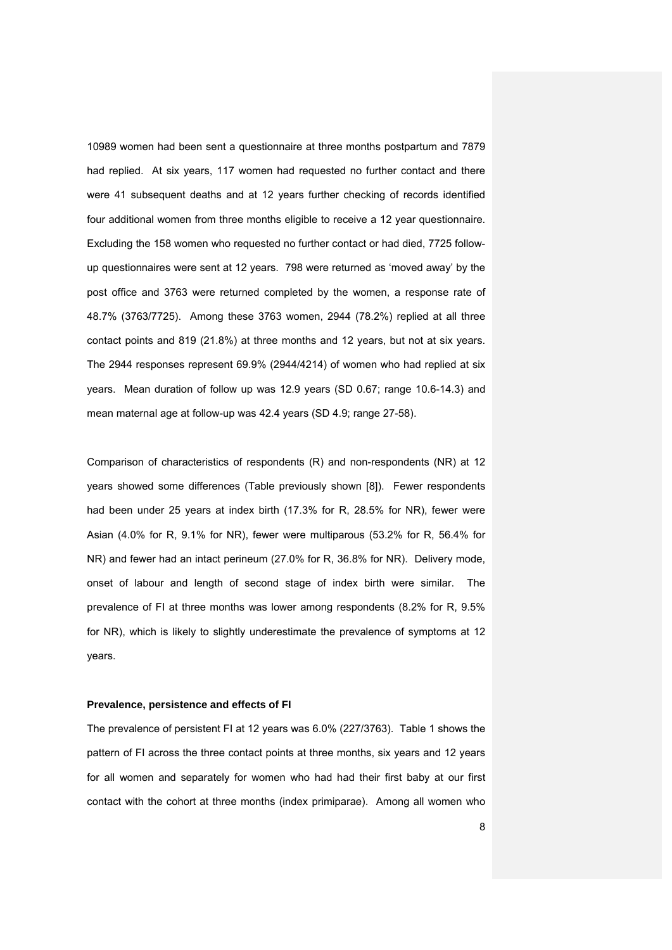10989 women had been sent a questionnaire at three months postpartum and 7879 had replied. At six years, 117 women had requested no further contact and there were 41 subsequent deaths and at 12 years further checking of records identified four additional women from three months eligible to receive a 12 year questionnaire. Excluding the 158 women who requested no further contact or had died, 7725 followup questionnaires were sent at 12 years. 798 were returned as 'moved away' by the post office and 3763 were returned completed by the women, a response rate of 48.7% (3763/7725). Among these 3763 women, 2944 (78.2%) replied at all three contact points and 819 (21.8%) at three months and 12 years, but not at six years. The 2944 responses represent 69.9% (2944/4214) of women who had replied at six years. Mean duration of follow up was 12.9 years (SD 0.67; range 10.6-14.3) and mean maternal age at follow-up was 42.4 years (SD 4.9; range 27-58).

Comparison of characteristics of respondents (R) and non-respondents (NR) at 12 years showed some differences (Table previously shown [8]). Fewer respondents had been under 25 years at index birth (17.3% for R, 28.5% for NR), fewer were Asian (4.0% for R, 9.1% for NR), fewer were multiparous (53.2% for R, 56.4% for NR) and fewer had an intact perineum (27.0% for R, 36.8% for NR). Delivery mode, onset of labour and length of second stage of index birth were similar. The prevalence of FI at three months was lower among respondents (8.2% for R, 9.5% for NR), which is likely to slightly underestimate the prevalence of symptoms at 12 years.

#### **Prevalence, persistence and effects of FI**

The prevalence of persistent FI at 12 years was 6.0% (227/3763). Table 1 shows the pattern of FI across the three contact points at three months, six years and 12 years for all women and separately for women who had had their first baby at our first contact with the cohort at three months (index primiparae). Among all women who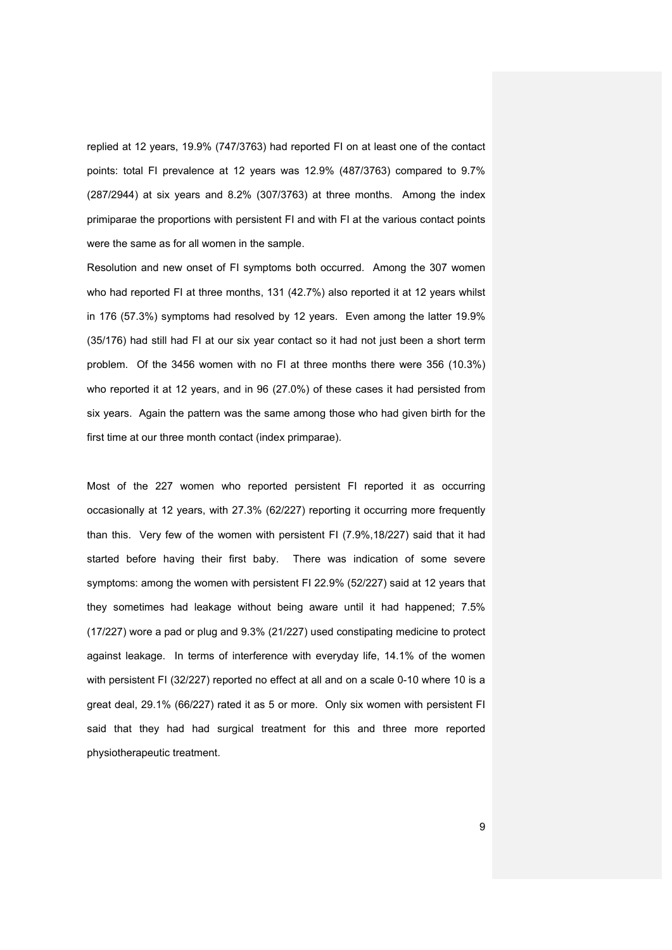replied at 12 years, 19.9% (747/3763) had reported FI on at least one of the contact points: total FI prevalence at 12 years was 12.9% (487/3763) compared to 9.7% (287/2944) at six years and 8.2% (307/3763) at three months. Among the index primiparae the proportions with persistent FI and with FI at the various contact points were the same as for all women in the sample.

Resolution and new onset of FI symptoms both occurred. Among the 307 women who had reported FI at three months, 131 (42.7%) also reported it at 12 years whilst in 176 (57.3%) symptoms had resolved by 12 years. Even among the latter 19.9% (35/176) had still had FI at our six year contact so it had not just been a short term problem. Of the 3456 women with no FI at three months there were 356 (10.3%) who reported it at 12 years, and in 96 (27.0%) of these cases it had persisted from six years. Again the pattern was the same among those who had given birth for the first time at our three month contact (index primparae).

Most of the 227 women who reported persistent FI reported it as occurring occasionally at 12 years, with 27.3% (62/227) reporting it occurring more frequently than this. Very few of the women with persistent FI (7.9%,18/227) said that it had started before having their first baby. There was indication of some severe symptoms: among the women with persistent FI 22.9% (52/227) said at 12 years that they sometimes had leakage without being aware until it had happened; 7.5% (17/227) wore a pad or plug and 9.3% (21/227) used constipating medicine to protect against leakage. In terms of interference with everyday life, 14.1% of the women with persistent FI (32/227) reported no effect at all and on a scale 0-10 where 10 is a great deal, 29.1% (66/227) rated it as 5 or more. Only six women with persistent FI said that they had had surgical treatment for this and three more reported physiotherapeutic treatment.

9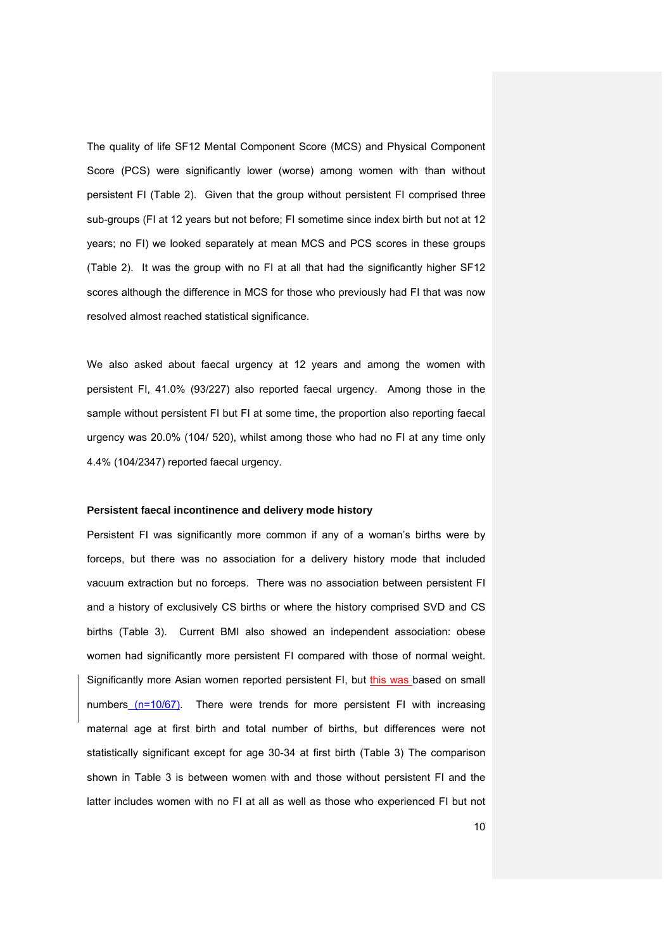The quality of life SF12 Mental Component Score (MCS) and Physical Component Score (PCS) were significantly lower (worse) among women with than without persistent FI (Table 2). Given that the group without persistent FI comprised three sub-groups (FI at 12 years but not before; FI sometime since index birth but not at 12 years; no FI) we looked separately at mean MCS and PCS scores in these groups (Table 2). It was the group with no FI at all that had the significantly higher SF12 scores although the difference in MCS for those who previously had FI that was now resolved almost reached statistical significance.

We also asked about faecal urgency at 12 years and among the women with persistent FI, 41.0% (93/227) also reported faecal urgency. Among those in the sample without persistent FI but FI at some time, the proportion also reporting faecal urgency was 20.0% (104/ 520), whilst among those who had no FI at any time only 4.4% (104/2347) reported faecal urgency.

## **Persistent faecal incontinence and delivery mode history**

Persistent FI was significantly more common if any of a woman's births were by forceps, but there was no association for a delivery history mode that included vacuum extraction but no forceps. There was no association between persistent FI and a history of exclusively CS births or where the history comprised SVD and CS births (Table 3). Current BMI also showed an independent association: obese women had significantly more persistent FI compared with those of normal weight. Significantly more Asian women reported persistent FI, but this was based on small numbers (n=10/67). There were trends for more persistent FI with increasing maternal age at first birth and total number of births, but differences were not statistically significant except for age 30-34 at first birth (Table 3) The comparison shown in Table 3 is between women with and those without persistent FI and the latter includes women with no FI at all as well as those who experienced FI but not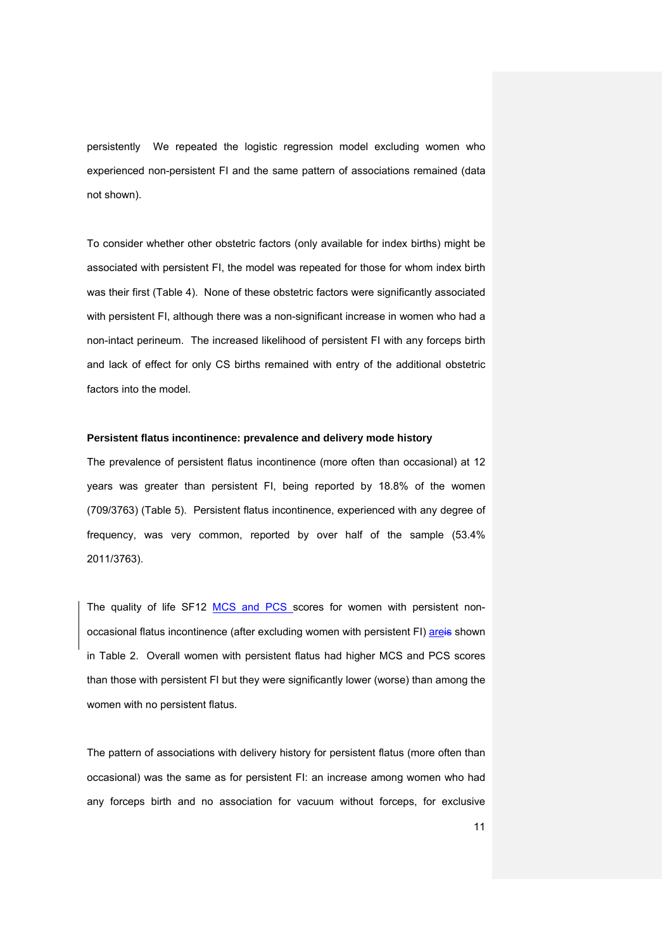persistently We repeated the logistic regression model excluding women who experienced non-persistent FI and the same pattern of associations remained (data not shown).

To consider whether other obstetric factors (only available for index births) might be associated with persistent FI, the model was repeated for those for whom index birth was their first (Table 4). None of these obstetric factors were significantly associated with persistent FI, although there was a non-significant increase in women who had a non-intact perineum. The increased likelihood of persistent FI with any forceps birth and lack of effect for only CS births remained with entry of the additional obstetric factors into the model.

### **Persistent flatus incontinence: prevalence and delivery mode history**

The prevalence of persistent flatus incontinence (more often than occasional) at 12 years was greater than persistent FI, being reported by 18.8% of the women (709/3763) (Table 5). Persistent flatus incontinence, experienced with any degree of frequency, was very common, reported by over half of the sample (53.4% 2011/3763).

The quality of life SF12 MCS and PCS scores for women with persistent nonoccasional flatus incontinence (after excluding women with persistent FI) areis shown in Table 2. Overall women with persistent flatus had higher MCS and PCS scores than those with persistent FI but they were significantly lower (worse) than among the women with no persistent flatus.

The pattern of associations with delivery history for persistent flatus (more often than occasional) was the same as for persistent FI: an increase among women who had any forceps birth and no association for vacuum without forceps, for exclusive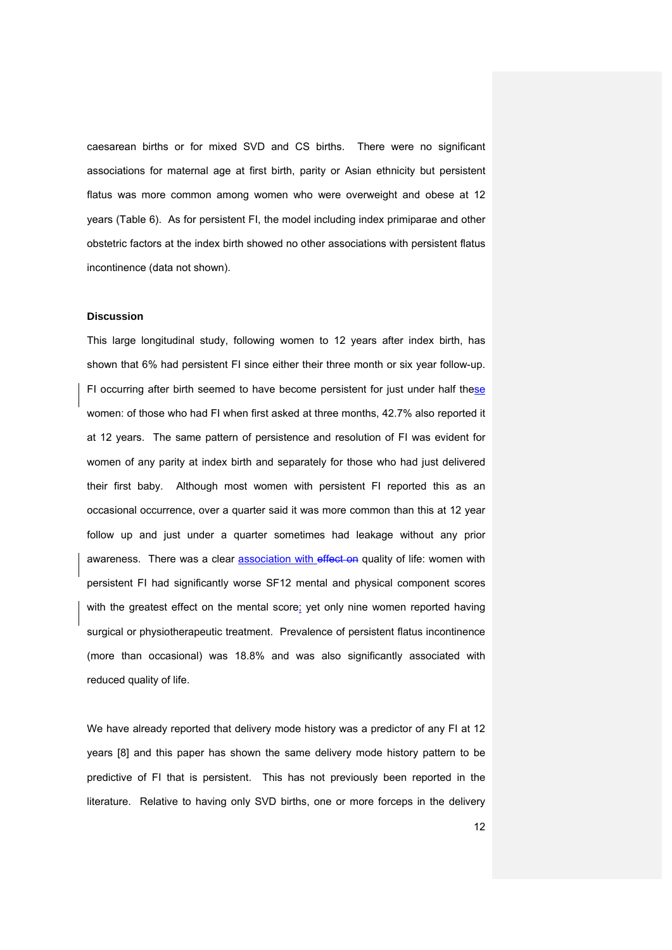caesarean births or for mixed SVD and CS births. There were no significant associations for maternal age at first birth, parity or Asian ethnicity but persistent flatus was more common among women who were overweight and obese at 12 years (Table 6). As for persistent FI, the model including index primiparae and other obstetric factors at the index birth showed no other associations with persistent flatus incontinence (data not shown).

### **Discussion**

This large longitudinal study, following women to 12 years after index birth, has shown that 6% had persistent FI since either their three month or six year follow-up. FI occurring after birth seemed to have become persistent for just under half these women: of those who had FI when first asked at three months, 42.7% also reported it at 12 years. The same pattern of persistence and resolution of FI was evident for women of any parity at index birth and separately for those who had just delivered their first baby. Although most women with persistent FI reported this as an occasional occurrence, over a quarter said it was more common than this at 12 year follow up and just under a quarter sometimes had leakage without any prior awareness. There was a clear association with effect on quality of life: women with persistent FI had significantly worse SF12 mental and physical component scores with the greatest effect on the mental score; yet only nine women reported having surgical or physiotherapeutic treatment. Prevalence of persistent flatus incontinence (more than occasional) was 18.8% and was also significantly associated with reduced quality of life.

We have already reported that delivery mode history was a predictor of any FI at 12 years [8] and this paper has shown the same delivery mode history pattern to be predictive of FI that is persistent. This has not previously been reported in the literature. Relative to having only SVD births, one or more forceps in the delivery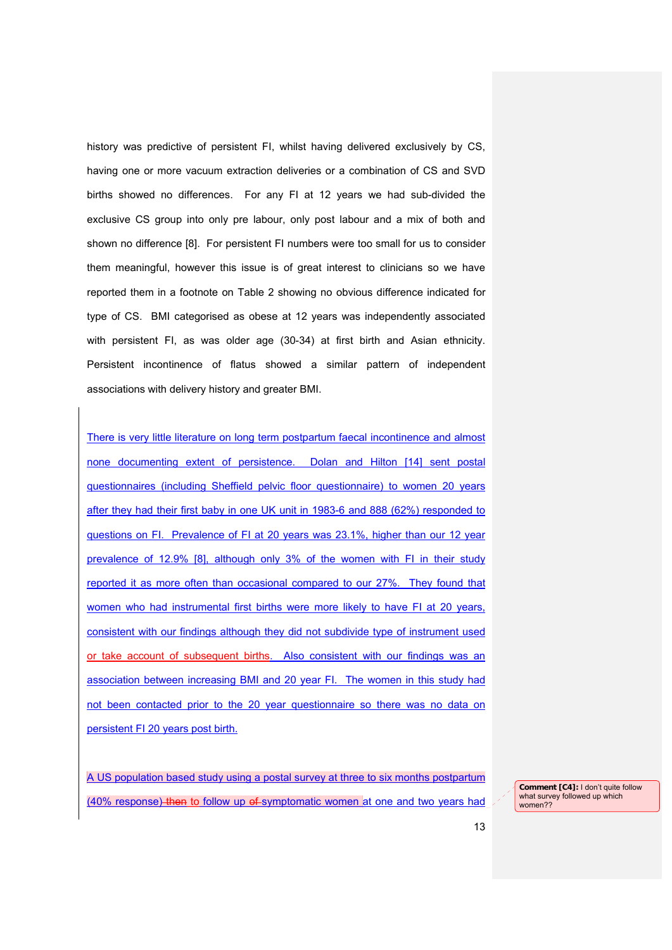history was predictive of persistent FI, whilst having delivered exclusively by CS, having one or more vacuum extraction deliveries or a combination of CS and SVD births showed no differences. For any FI at 12 years we had sub-divided the exclusive CS group into only pre labour, only post labour and a mix of both and shown no difference [8]. For persistent FI numbers were too small for us to consider them meaningful, however this issue is of great interest to clinicians so we have reported them in a footnote on Table 2 showing no obvious difference indicated for type of CS. BMI categorised as obese at 12 years was independently associated with persistent FI, as was older age (30-34) at first birth and Asian ethnicity. Persistent incontinence of flatus showed a similar pattern of independent associations with delivery history and greater BMI.

There is very little literature on long term postpartum faecal incontinence and almost none documenting extent of persistence. Dolan and Hilton [14] sent postal questionnaires (including Sheffield pelvic floor questionnaire) to women 20 years after they had their first baby in one UK unit in 1983-6 and 888 (62%) responded to questions on FI. Prevalence of FI at 20 years was 23.1%, higher than our 12 year prevalence of 12.9% [8], although only 3% of the women with FI in their study reported it as more often than occasional compared to our 27%. They found that women who had instrumental first births were more likely to have FI at 20 years, consistent with our findings although they did not subdivide type of instrument used or take account of subsequent births. Also consistent with our findings was an association between increasing BMI and 20 year FI. The women in this study had not been contacted prior to the 20 year questionnaire so there was no data on persistent FI 20 years post birth.

A US population based study using a postal survey at three to six months postpartum (40% response) then to follow up of symptomatic women at one and two years had

**Comment [C4]:** I don't quite follow what survey followed up which women??

13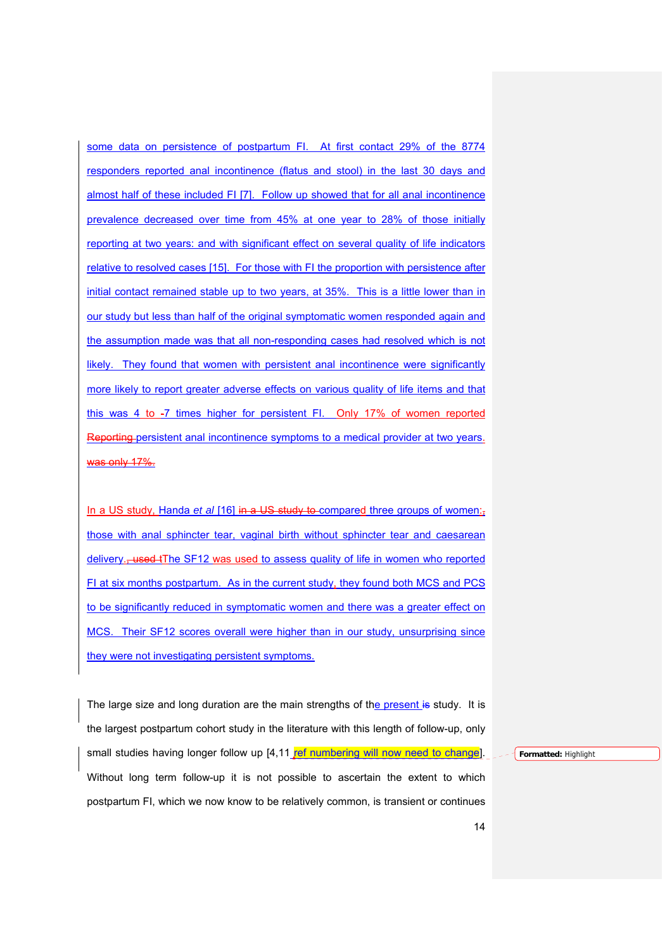some data on persistence of postpartum FI. At first contact 29% of the 8774 responders reported anal incontinence (flatus and stool) in the last 30 days and almost half of these included FI [7]. Follow up showed that for all anal incontinence prevalence decreased over time from 45% at one year to 28% of those initially reporting at two years: and with significant effect on several quality of life indicators relative to resolved cases [15]. For those with FI the proportion with persistence after initial contact remained stable up to two years, at 35%. This is a little lower than in our study but less than half of the original symptomatic women responded again and the assumption made was that all non-responding cases had resolved which is not likely. They found that women with persistent anal incontinence were significantly more likely to report greater adverse effects on various quality of life items and that this was 4 to -7 times higher for persistent FI. Only 17% of women reported Reporting persistent anal incontinence symptoms to a medical provider at two years. was only 17%.

In a US study, Handa *et al* [16] in a US study to compared three groups of women:<sub>1</sub> those with anal sphincter tear, vaginal birth without sphincter tear and caesarean delivery., used tThe SF12 was used to assess quality of life in women who reported FI at six months postpartum. As in the current study, they found both MCS and PCS to be significantly reduced in symptomatic women and there was a greater effect on MCS. Their SF12 scores overall were higher than in our study, unsurprising since they were not investigating persistent symptoms.

The large size and long duration are the main strengths of the present is study. It is the largest postpartum cohort study in the literature with this length of follow-up, only small studies having longer follow up  $[4,11]$  ref numbering will now need to change]. Without long term follow-up it is not possible to ascertain the extent to which postpartum FI, which we now know to be relatively common, is transient or continues

**Formatted:** Highlight

14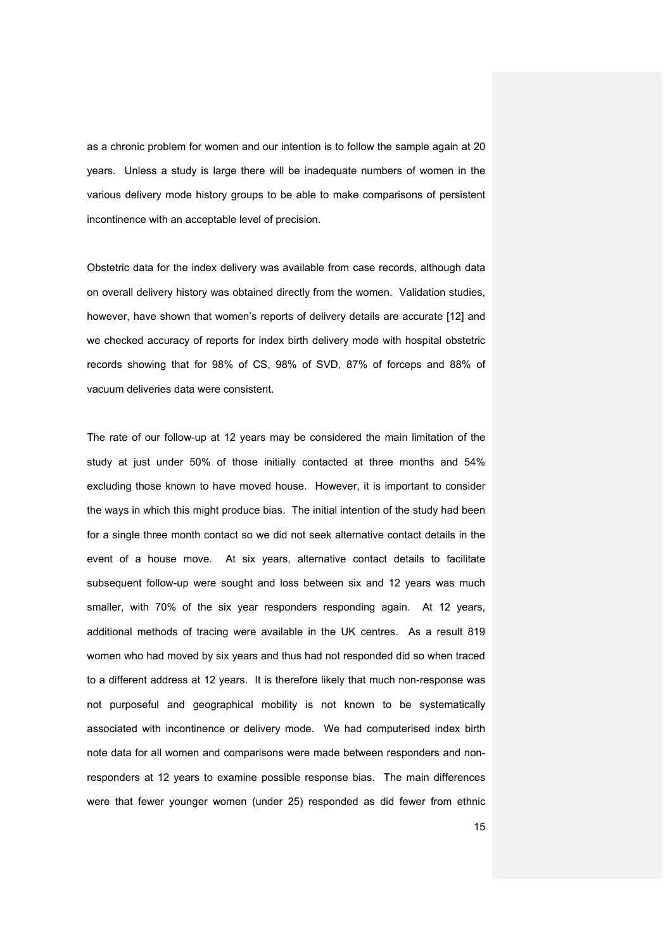as a chronic problem for women and our intention is to follow the sample again at 20 years. Unless a study is large there will be inadequate numbers of women in the various delivery mode history groups to be able to make comparisons of persistent incontinence with an acceptable level of precision.

Obstetric data for the index delivery was available from case records, although data on overall delivery history was obtained directly from the women. Validation studies, however, have shown that women's reports of delivery details are accurate [12] and we checked accuracy of reports for index birth delivery mode with hospital obstetric records showing that for 98% of CS, 98% of SVD, 87% of forceps and 88% of vacuum deliveries data were consistent.

The rate of our follow-up at 12 years may be considered the main limitation of the study at just under 50% of those initially contacted at three months and 54% excluding those known to have moved house. However, it is important to consider the ways in which this might produce bias. The initial intention of the study had been for a single three month contact so we did not seek alternative contact details in the event of a house move. At six years, alternative contact details to facilitate subsequent follow-up were sought and loss between six and 12 years was much smaller, with 70% of the six year responders responding again. At 12 years, additional methods of tracing were available in the UK centres. As a result 819 women who had moved by six years and thus had not responded did so when traced to a different address at 12 years. It is therefore likely that much non-response was not purposeful and geographical mobility is not known to be systematically associated with incontinence or delivery mode. We had computerised index birth note data for all women and comparisons were made between responders and nonresponders at 12 years to examine possible response bias. The main differences were that fewer younger women (under 25) responded as did fewer from ethnic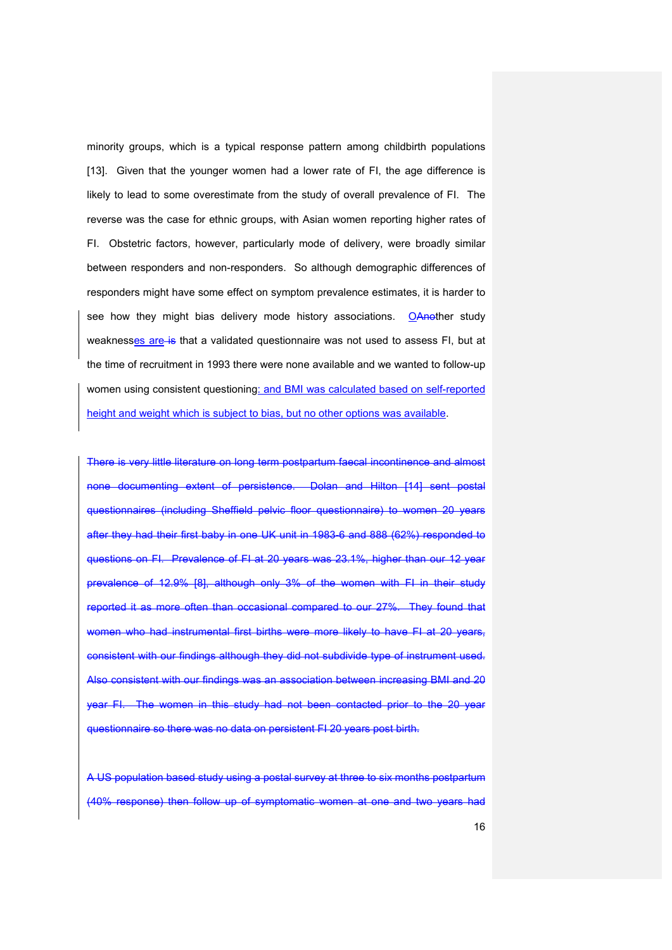minority groups, which is a typical response pattern among childbirth populations [13]. Given that the younger women had a lower rate of FI, the age difference is likely to lead to some overestimate from the study of overall prevalence of FI. The reverse was the case for ethnic groups, with Asian women reporting higher rates of FI. Obstetric factors, however, particularly mode of delivery, were broadly similar between responders and non-responders. So although demographic differences of responders might have some effect on symptom prevalence estimates, it is harder to see how they might bias delivery mode history associations. OAnother study weaknesses are is that a validated questionnaire was not used to assess FI, but at the time of recruitment in 1993 there were none available and we wanted to follow-up women using consistent questioning: and BMI was calculated based on self-reported height and weight which is subject to bias, but no other options was available.

There is very little literature on long term postpartum faecal incontinence and almost none documenting extent of persistence. Dolan and Hilton [14] sent postal questionnaires (including Sheffield pelvic floor questionnaire) to women 20 years after they had their first baby in one UK unit in 1983-6 and 888 (62%) responded to questions on FI. Prevalence of FI at 20 years was 23.1%, higher than our 12 year prevalence of 12.9% [8], although only 3% of the women with FI in their study reported it as more often than occasional compared to our 27%. They found that women who had instrumental first births were more likely to have FI at 20 years, consistent with our findings although they did not subdivide type of instrument used. Also consistent with our findings was an association between increasing BMI and 20 year FI. The women in this study had not been contacted prior to the 20 year questionnaire so there was no data on persistent FI 20 years post birth.

A US population based study using a postal survey at three to six months postpartum (40% response) then follow up of symptomatic women at one and two years had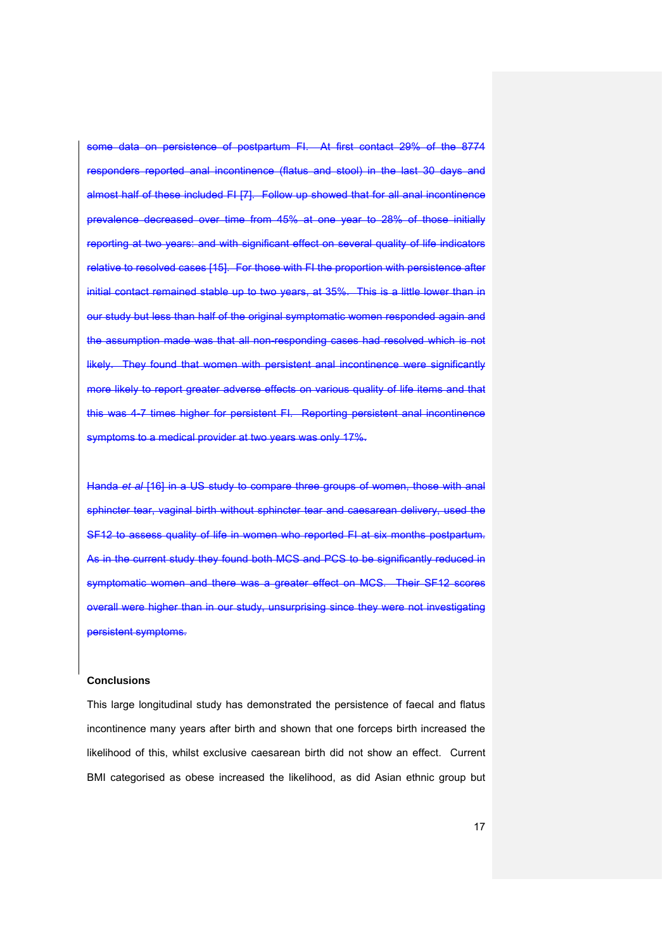some data on persistence of postpartum FI. At first contact 29% of the 8774 responders reported anal incontinence (flatus and stool) in the last 30 days and almost half of these included FI [7]. Follow up showed that for all anal incontinence prevalence decreased over time from 45% at one year to 28% of those initially reporting at two years: and with significant effect on several quality of life indicators relative to resolved cases [15]. For those with FI the proportion with persistence after initial contact remained stable up to two years, at 35%. This is a little lower than in our study but less than half of the original symptomatic women responded again and the assumption made was that all non-responding cases had resolved which is not likely. They found that women with persistent anal incontinence were significantly more likely to report greater adverse effects on various quality of life items and that this was 4-7 times higher for persistent FI. Reporting persistent anal incontinence symptoms to a medical provider at two years was only 17%.

Handa *et al* [16] in a US study to compare three groups of women, those with anal sphincter tear, vaginal birth without sphincter tear and caesarean delivery, used the SF12 to assess quality of life in women who reported FI at six months postpartum. As in the current study they found both MCS and PCS to be significantly reduced in symptomatic women and there was a greater effect on MCS. Their SF12 scores overall were higher than in our study, unsurprising since they were not investigating persistent symptoms.

### **Conclusions**

This large longitudinal study has demonstrated the persistence of faecal and flatus incontinence many years after birth and shown that one forceps birth increased the likelihood of this, whilst exclusive caesarean birth did not show an effect. Current BMI categorised as obese increased the likelihood, as did Asian ethnic group but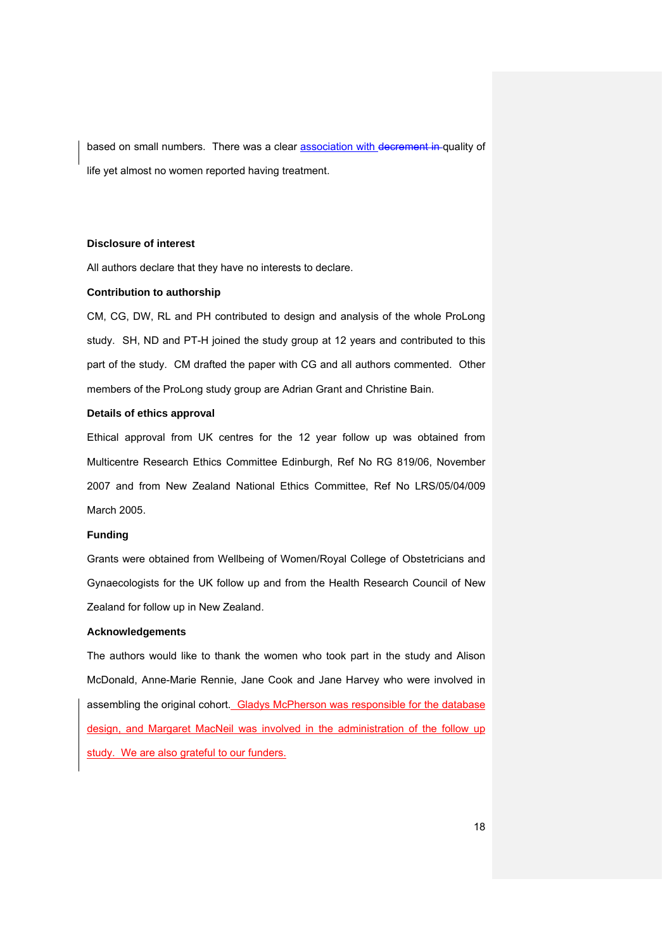based on small numbers. There was a clear **association with decrement in** quality of life yet almost no women reported having treatment.

### **Disclosure of interest**

All authors declare that they have no interests to declare.

## **Contribution to authorship**

CM, CG, DW, RL and PH contributed to design and analysis of the whole ProLong study. SH, ND and PT-H joined the study group at 12 years and contributed to this part of the study. CM drafted the paper with CG and all authors commented. Other members of the ProLong study group are Adrian Grant and Christine Bain.

## **Details of ethics approval**

Ethical approval from UK centres for the 12 year follow up was obtained from Multicentre Research Ethics Committee Edinburgh, Ref No RG 819/06, November 2007 and from New Zealand National Ethics Committee, Ref No LRS/05/04/009 March 2005.

### **Funding**

Grants were obtained from Wellbeing of Women/Royal College of Obstetricians and Gynaecologists for the UK follow up and from the Health Research Council of New Zealand for follow up in New Zealand.

### **Acknowledgements**

The authors would like to thank the women who took part in the study and Alison McDonald, Anne-Marie Rennie, Jane Cook and Jane Harvey who were involved in assembling the original cohort. Gladys McPherson was responsible for the database design, and Margaret MacNeil was involved in the administration of the follow up study. We are also grateful to our funders.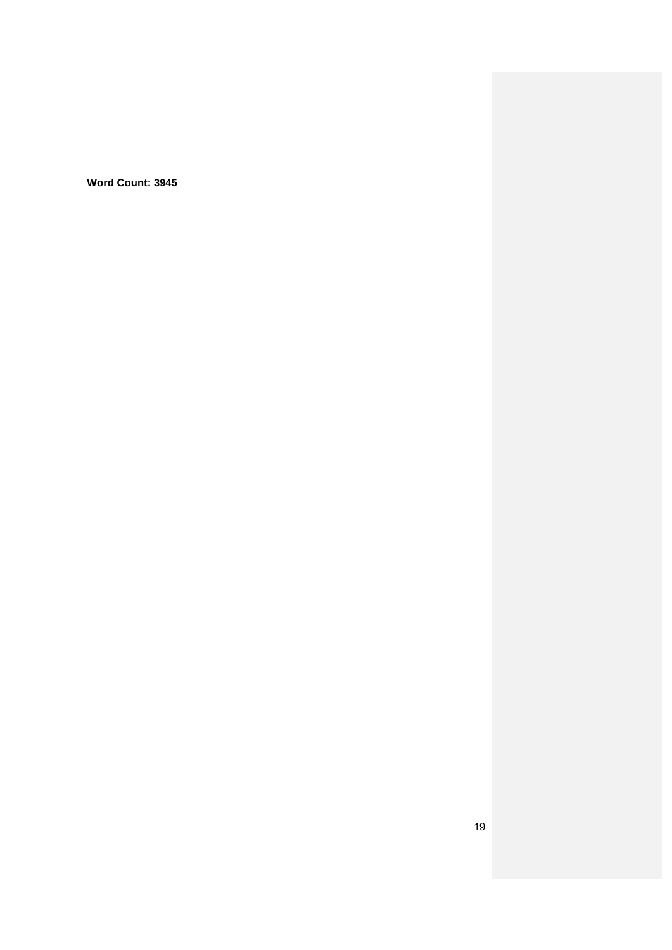**Word Count: 3945**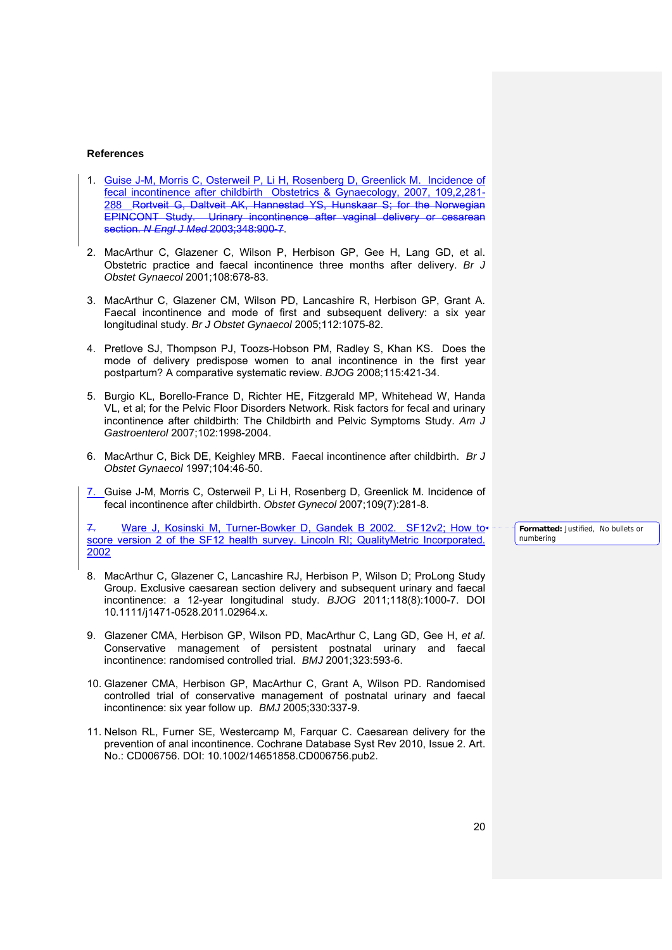#### **References**

- 1. Guise J-M, Morris C, Osterweil P, Li H, Rosenberg D, Greenlick M. Incidence of fecal incontinence after childbirth Obstetrics & Gynaecology, 2007, 109,2,281-<br>288 Regive G. Daltveit AK, Hannestad YS, Hunskaar S: for the Norwegian 288 Rortveit G, Daltveit AK, Hannestad YS, Hunskaar S; EPINCONT Study. Urinary incontinence after vaginal delivery or cesarean section. *N Engl J Med* 2003;348:900-7.
- 2. MacArthur C, Glazener C, Wilson P, Herbison GP, Gee H, Lang GD, et al. Obstetric practice and faecal incontinence three months after delivery. *Br J Obstet Gynaecol* 2001;108:678-83.
- 3. MacArthur C, Glazener CM, Wilson PD, Lancashire R, Herbison GP, Grant A. Faecal incontinence and mode of first and subsequent delivery: a six year longitudinal study. *Br J Obstet Gynaecol* 2005;112:1075-82.
- 4. Pretlove SJ, Thompson PJ, Toozs-Hobson PM, Radley S, Khan KS. Does the mode of delivery predispose women to anal incontinence in the first year postpartum? A comparative systematic review. *BJOG* 2008;115:421-34.
- 5. Burgio KL, Borello-France D, Richter HE, Fitzgerald MP, Whitehead W, Handa VL, et al; for the Pelvic Floor Disorders Network. Risk factors for fecal and urinary incontinence after childbirth: The Childbirth and Pelvic Symptoms Study. *Am J Gastroenterol* 2007;102:1998-2004.
- 6. MacArthur C, Bick DE, Keighley MRB. Faecal incontinence after childbirth. *Br J Obstet Gynaecol* 1997;104:46-50.
- 7. Guise J-M, Morris C, Osterweil P, Li H, Rosenberg D, Greenlick M. Incidence of fecal incontinence after childbirth. *Obstet Gynecol* 2007;109(7):281-8.

7. Ware J, Kosinski M, Turner-Bowker D, Gandek B 2002. SF12v2; How to score version 2 of the SF12 health survey. Lincoln RI: QualityMetric Incorporated. 2002

- 8. MacArthur C, Glazener C, Lancashire RJ, Herbison P, Wilson D; ProLong Study Group. Exclusive caesarean section delivery and subsequent urinary and faecal incontinence: a 12-year longitudinal study. *BJOG* 2011;118(8):1000-7. DOI 10.1111/j1471-0528.2011.02964.x.
- 9. Glazener CMA, Herbison GP, Wilson PD, MacArthur C, Lang GD, Gee H, *et al*. Conservative management of persistent postnatal urinary and faecal incontinence: randomised controlled trial. *BMJ* 2001;323:593-6.
- 10. Glazener CMA, Herbison GP, MacArthur C, Grant A, Wilson PD. Randomised controlled trial of conservative management of postnatal urinary and faecal incontinence: six year follow up. *BMJ* 2005;330:337-9.
- 11. Nelson RL, Furner SE, Westercamp M, Farquar C. Caesarean delivery for the prevention of anal incontinence. Cochrane Database Syst Rev 2010, Issue 2. Art. No.: CD006756. DOI: 10.1002/14651858.CD006756.pub2.

**Formatted:** Justified, No bullets or numbering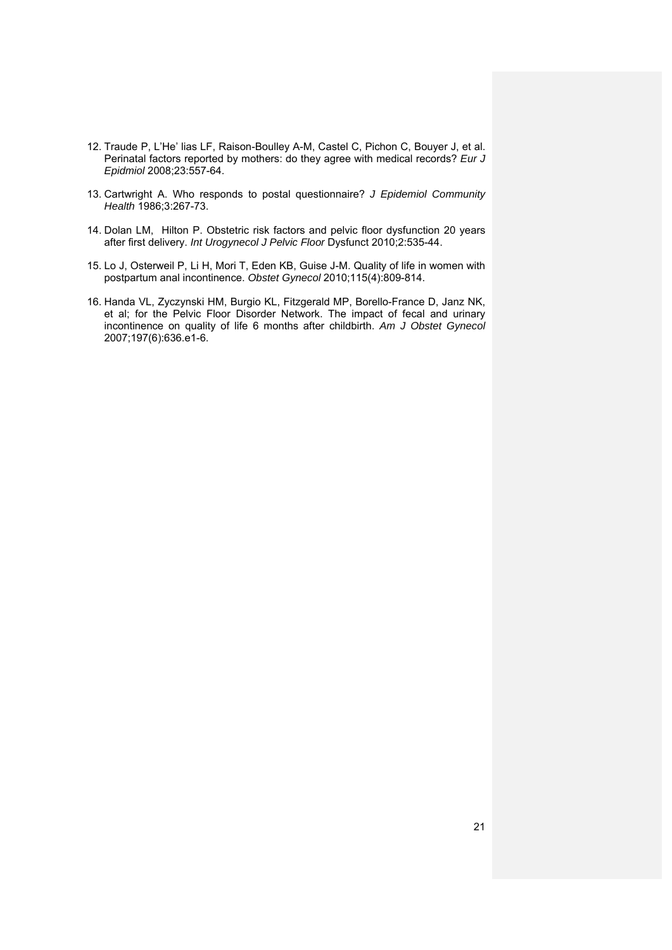- 12. Traude P, L'He' lias LF, Raison-Boulley A-M, Castel C, Pichon C, Bouyer J, et al. Perinatal factors reported by mothers: do they agree with medical records? *Eur J Epidmiol* 2008;23:557-64.
- 13. Cartwright A. Who responds to postal questionnaire? *J Epidemiol Community Health* 1986;3:267-73.
- 14. Dolan LM, Hilton P. Obstetric risk factors and pelvic floor dysfunction 20 years after first delivery. *Int Urogynecol J Pelvic Floor* Dysfunct 2010;2:535-44.
- 15. Lo J, Osterweil P, Li H, Mori T, Eden KB, Guise J-M. Quality of life in women with postpartum anal incontinence. *Obstet Gynecol* 2010;115(4):809-814.
- 16. Handa VL, Zyczynski HM, Burgio KL, Fitzgerald MP, Borello-France D, Janz NK, et al; for the Pelvic Floor Disorder Network. The impact of fecal and urinary incontinence on quality of life 6 months after childbirth. *Am J Obstet Gynecol* 2007;197(6):636.e1-6.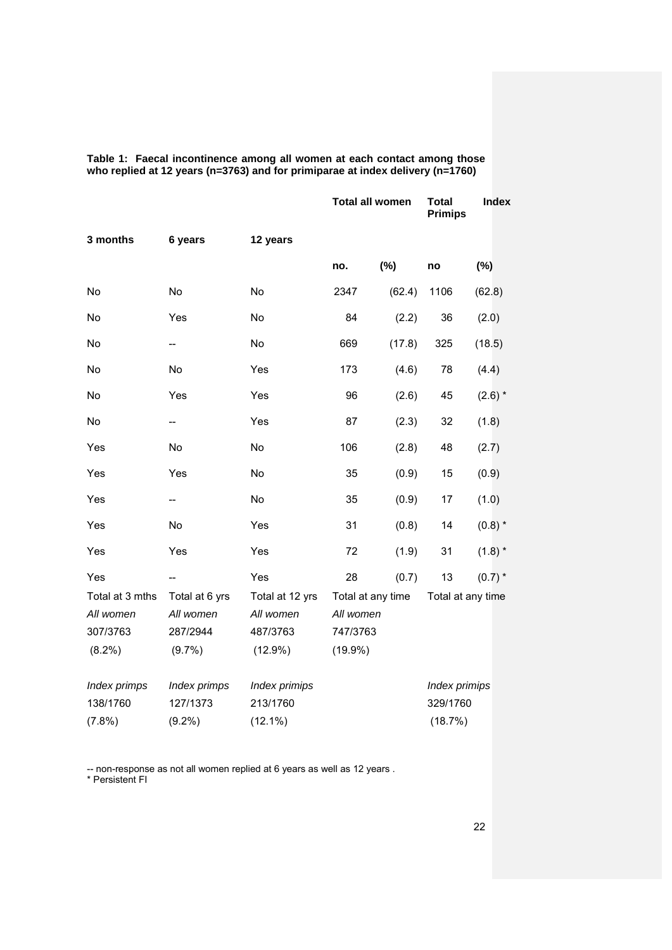|                 |                |                 | <b>Total all women</b> |        | <b>Total</b><br><b>Primips</b> | <b>Index</b> |
|-----------------|----------------|-----------------|------------------------|--------|--------------------------------|--------------|
| 3 months        | 6 years        | 12 years        |                        |        |                                |              |
|                 |                |                 | no.                    | (%)    | no                             | $(\%)$       |
| No              | <b>No</b>      | <b>No</b>       | 2347                   | (62.4) | 1106                           | (62.8)       |
| No              | Yes            | No              | 84                     | (2.2)  | 36                             | (2.0)        |
| No              | --             | No              | 669                    | (17.8) | 325                            | (18.5)       |
| No              | No             | Yes             | 173                    | (4.6)  | 78                             | (4.4)        |
| No              | Yes            | Yes             | 96                     | (2.6)  | 45                             | $(2.6)$ *    |
| No              | --             | Yes             | 87                     | (2.3)  | 32                             | (1.8)        |
| Yes             | No             | No              | 106                    | (2.8)  | 48                             | (2.7)        |
| Yes             | Yes            | No              | 35                     | (0.9)  | 15                             | (0.9)        |
| Yes             | --             | No              | 35                     | (0.9)  | 17                             | (1.0)        |
| Yes             | No             | Yes             | 31                     | (0.8)  | 14                             | $(0.8)$ *    |
| Yes             | Yes            | Yes             | 72                     | (1.9)  | 31                             | $(1.8)$ *    |
| Yes             | --             | Yes             | 28                     | (0.7)  | 13                             | $(0.7)$ *    |
| Total at 3 mths | Total at 6 yrs | Total at 12 yrs | Total at any time      |        | Total at any time              |              |
| All women       | All women      | All women       | All women              |        |                                |              |
| 307/3763        | 287/2944       | 487/3763        | 747/3763               |        |                                |              |
| $(8.2\%)$       | $(9.7\%)$      | $(12.9\%)$      | $(19.9\%)$             |        |                                |              |
| Index primps    | Index primps   | Index primips   |                        |        | Index primips                  |              |
| 138/1760        | 127/1373       | 213/1760        |                        |        | 329/1760                       |              |
| (7.8%)          | $(9.2\%)$      | $(12.1\%)$      |                        |        | (18.7%)                        |              |

**Table 1: Faecal incontinence among all women at each contact among those who replied at 12 years (n=3763) and for primiparae at index delivery (n=1760)** 

-- non-response as not all women replied at 6 years as well as 12 years .

\* Persistent FI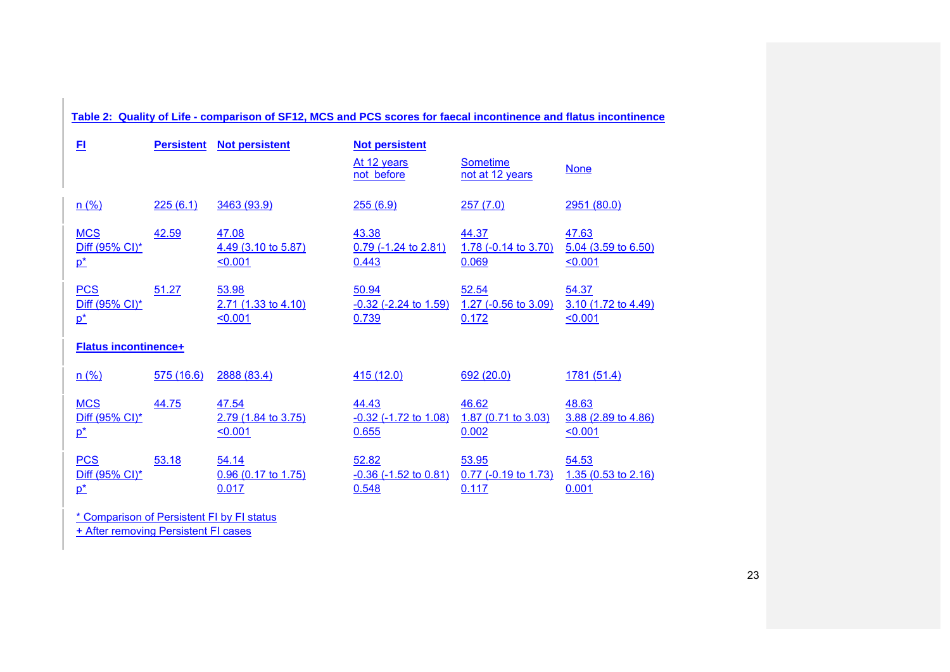|                              | Table 2: Quality of Life - comparison of SF12, MCS and PCS scores for faecal incontinence and flatus incontinence |                                |                                        |                                          |                                         |  |  |  |
|------------------------------|-------------------------------------------------------------------------------------------------------------------|--------------------------------|----------------------------------------|------------------------------------------|-----------------------------------------|--|--|--|
| $E_{\rm I}$                  | <b>Persistent</b>                                                                                                 | <b>Not persistent</b>          | <b>Not persistent</b>                  |                                          |                                         |  |  |  |
|                              |                                                                                                                   |                                | At 12 years<br>not before              | <b>Sometime</b><br>not at 12 years       | <b>None</b>                             |  |  |  |
| n(%)                         | 225(6.1)                                                                                                          | 3463 (93.9)                    | 255(6.9)                               | 257(7.0)                                 | 2951(80.0)                              |  |  |  |
| <b>MCS</b>                   | 42.59                                                                                                             | 47.08                          | 43.38                                  | 44.37                                    | 47.63                                   |  |  |  |
| Diff (95% CI)*<br>$p^*$      |                                                                                                                   | 4.49 (3.10 to 5.87)<br>< 0.001 | $0.79$ (-1.24 to 2.81)<br>0.443        | 1.78 $(-0.14 \text{ to } 3.70)$<br>0.069 | 5.04 (3.59 to 6.50)<br>50.001           |  |  |  |
|                              |                                                                                                                   |                                |                                        |                                          |                                         |  |  |  |
| <b>PCS</b><br>Diff (95% CI)* | 51.27                                                                                                             | 53.98<br>2.71 (1.33 to 4.10)   | 50.94<br>$-0.32$ ( $-2.24$ to $1.59$ ) | 52.54<br>1.27 ( $-0.56$ to 3.09)         | 54.37<br>3.10 (1.72 to 4.49)            |  |  |  |
| $\mathbf{p}^*$               |                                                                                                                   | < 0.001                        | 0.739                                  | 0.172                                    | < 0.001                                 |  |  |  |
| <b>Flatus incontinence+</b>  |                                                                                                                   |                                |                                        |                                          |                                         |  |  |  |
| n(%)                         | 575(16.6)                                                                                                         | 2888 (83.4)                    | 415 (12.0)                             | 692(20.0)                                | 1781(51.4)                              |  |  |  |
| <b>MCS</b>                   | 44.75                                                                                                             | 47.54                          | 44.43                                  | 46.62                                    | 48.63                                   |  |  |  |
| Diff (95% CI)*<br>$p^*$      |                                                                                                                   | 2.79 (1.84 to 3.75)<br>50.001  | $-0.32$ ( $-1.72$ to $1.08$ )<br>0.655 | 1.87 $(0.71 \text{ to } 3.03)$<br>0.002  | 3.88 (2.89 to 4.86)<br>50.001           |  |  |  |
|                              |                                                                                                                   |                                |                                        |                                          |                                         |  |  |  |
| <b>PCS</b>                   | 53.18                                                                                                             | 54.14                          | 52.82                                  | 53.95                                    | 54.53<br>1.35 $(0.53 \text{ to } 2.16)$ |  |  |  |
| Diff (95% CI)*<br>$p^*$      |                                                                                                                   | $0.96$ (0.17 to 1.75)<br>0.017 | $-0.36$ ( $-1.52$ to $0.81$ )<br>0.548 | 0.77 (-0.19 to 1.73)<br>0.117            | 0.001                                   |  |  |  |
|                              |                                                                                                                   |                                |                                        |                                          |                                         |  |  |  |

\* Comparison of Persistent FI by FI status + After removing Persistent FI cases

23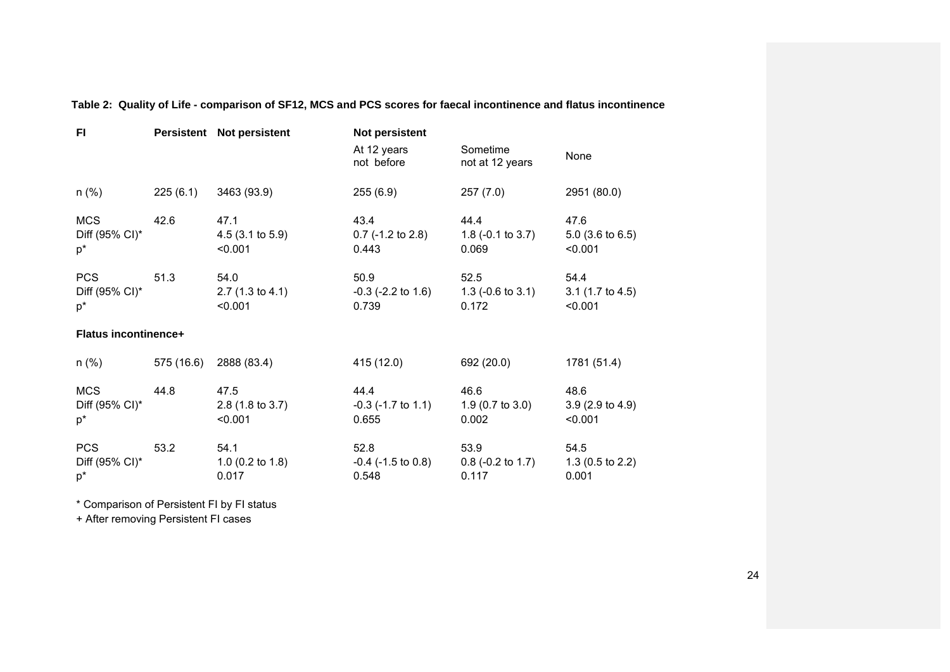| FI                                    |            | Persistent Not persistent                     | <b>Not persistent</b>                       |                                               |                                               |
|---------------------------------------|------------|-----------------------------------------------|---------------------------------------------|-----------------------------------------------|-----------------------------------------------|
|                                       |            |                                               | At 12 years<br>not before                   | Sometime<br>not at 12 years                   | None                                          |
| $n$ (%)                               | 225(6.1)   | 3463 (93.9)                                   | 255(6.9)                                    | 257(7.0)                                      | 2951 (80.0)                                   |
| <b>MCS</b><br>Diff (95% CI)*<br>$p^*$ | 42.6       | 47.1<br>$4.5(3.1 \text{ to } 5.9)$<br>< 0.001 | 43.4<br>$0.7$ (-1.2 to 2.8)<br>0.443        | 44.4<br>1.8 $(-0.1 \text{ to } 3.7)$<br>0.069 | 47.6<br>$5.0$ (3.6 to 6.5)<br>< 0.001         |
| <b>PCS</b><br>Diff (95% CI)*<br>$p^*$ | 51.3       | 54.0<br>$2.7(1.3 \text{ to } 4.1)$<br>< 0.001 | 50.9<br>$-0.3$ ( $-2.2$ to 1.6)<br>0.739    | 52.5<br>1.3 ( $-0.6$ to 3.1)<br>0.172         | 54.4<br>$3.1$ (1.7 to 4.5)<br>< 0.001         |
| <b>Flatus incontinence+</b>           |            |                                               |                                             |                                               |                                               |
| $n$ (%)                               | 575 (16.6) | 2888 (83.4)                                   | 415 (12.0)                                  | 692 (20.0)                                    | 1781 (51.4)                                   |
| <b>MCS</b><br>Diff (95% CI)*<br>$p^*$ | 44.8       | 47.5<br>2.8 (1.8 to 3.7)<br>< 0.001           | 44.4<br>$-0.3$ ( $-1.7$ to $1.1$ )<br>0.655 | 46.6<br>1.9 (0.7 to 3.0)<br>0.002             | 48.6<br>$3.9(2.9 \text{ to } 4.9)$<br>< 0.001 |
| <b>PCS</b><br>Diff (95% CI)*<br>$p^*$ | 53.2       | 54.1<br>1.0 $(0.2 \text{ to } 1.8)$<br>0.017  | 52.8<br>$-0.4$ ( $-1.5$ to 0.8)<br>0.548    | 53.9<br>$0.8$ (-0.2 to 1.7)<br>0.117          | 54.5<br>1.3 $(0.5 \text{ to } 2.2)$<br>0.001  |

**Table 2: Quality of Life - comparison of SF12, MCS and PCS scores for faecal incontinence and flatus incontinence** 

\* Comparison of Persistent FI by FI status

+ After removing Persistent FI cases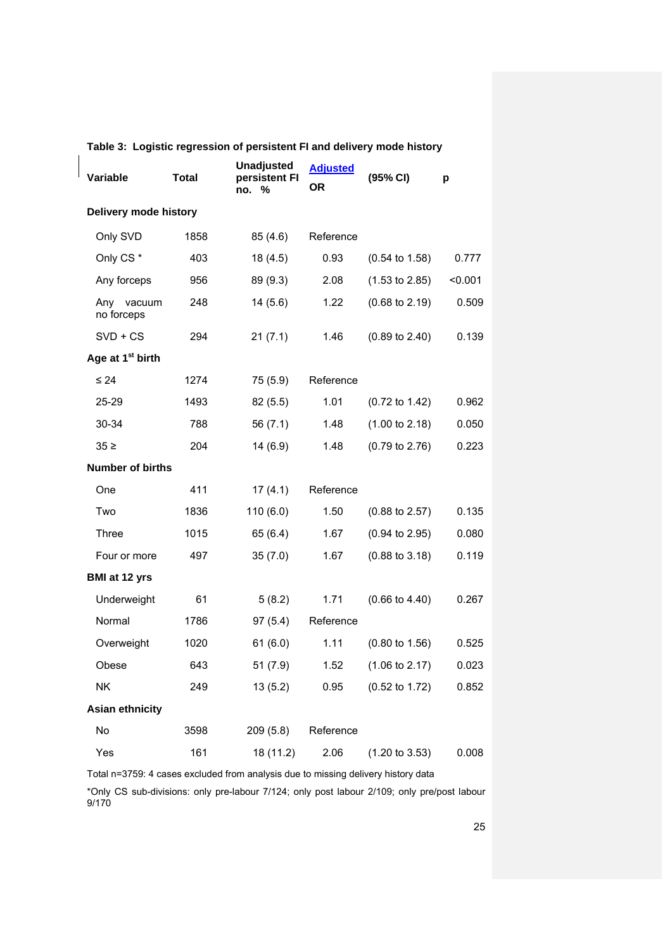| Variable                     | <b>Total</b> | <b>Unadjusted</b><br>persistent FI<br>no. % | <b>Adjusted</b><br><b>OR</b> | (95% CI)                  | p       |
|------------------------------|--------------|---------------------------------------------|------------------------------|---------------------------|---------|
| Delivery mode history        |              |                                             |                              |                           |         |
| Only SVD                     | 1858         | 85 (4.6)                                    | Reference                    |                           |         |
| Only CS <sup>*</sup>         | 403          | 18(4.5)                                     | 0.93                         | $(0.54 \text{ to } 1.58)$ | 0.777   |
| Any forceps                  | 956          | 89 (9.3)                                    | 2.08                         | $(1.53 \text{ to } 2.85)$ | < 0.001 |
| Any vacuum<br>no forceps     | 248          | 14(5.6)                                     | 1.22                         | $(0.68 \text{ to } 2.19)$ | 0.509   |
| $SVD + CS$                   | 294          | 21(7.1)                                     | 1.46                         | $(0.89 \text{ to } 2.40)$ | 0.139   |
| Age at 1 <sup>st</sup> birth |              |                                             |                              |                           |         |
| $\leq 24$                    | 1274         | 75 (5.9)                                    | Reference                    |                           |         |
| 25-29                        | 1493         | 82 (5.5)                                    | 1.01                         | $(0.72 \text{ to } 1.42)$ | 0.962   |
| 30-34                        | 788          | 56 $(7.1)$                                  | 1.48                         | (1.00 to 2.18)            | 0.050   |
| $35 \geq$                    | 204          | 14 (6.9)                                    | 1.48                         | $(0.79 \text{ to } 2.76)$ | 0.223   |
| <b>Number of births</b>      |              |                                             |                              |                           |         |
| One                          | 411          | 17(4.1)                                     | Reference                    |                           |         |
| Two                          | 1836         | 110(6.0)                                    | 1.50                         | $(0.88 \text{ to } 2.57)$ | 0.135   |
| <b>Three</b>                 | 1015         | 65 (6.4)                                    | 1.67                         | $(0.94 \text{ to } 2.95)$ | 0.080   |
| Four or more                 | 497          | 35(7.0)                                     | 1.67                         | $(0.88 \text{ to } 3.18)$ | 0.119   |
| <b>BMI at 12 yrs</b>         |              |                                             |                              |                           |         |
| Underweight                  | 61           | 5(8.2)                                      | 1.71                         | $(0.66 \text{ to } 4.40)$ | 0.267   |
| Normal                       | 1786         | 97(5.4)                                     | Reference                    |                           |         |
| Overweight                   | 1020         | 61(6.0)                                     | 1.11                         | $(0.80 \text{ to } 1.56)$ | 0.525   |
| Obese                        | 643          | 51(7.9)                                     | 1.52                         | $(1.06 \text{ to } 2.17)$ | 0.023   |
| <b>NK</b>                    | 249          | 13(5.2)                                     | 0.95                         | $(0.52 \text{ to } 1.72)$ | 0.852   |
| <b>Asian ethnicity</b>       |              |                                             |                              |                           |         |
| No                           | 3598         | 209(5.8)                                    | Reference                    |                           |         |
| Yes                          | 161          | 18 (11.2)                                   | 2.06                         | $(1.20 \text{ to } 3.53)$ | 0.008   |

# **Table 3: Logistic regression of persistent FI and delivery mode history**

Total n=3759: 4 cases excluded from analysis due to missing delivery history data

\*Only CS sub-divisions: only pre-labour 7/124; only post labour 2/109; only pre/post labour 9/170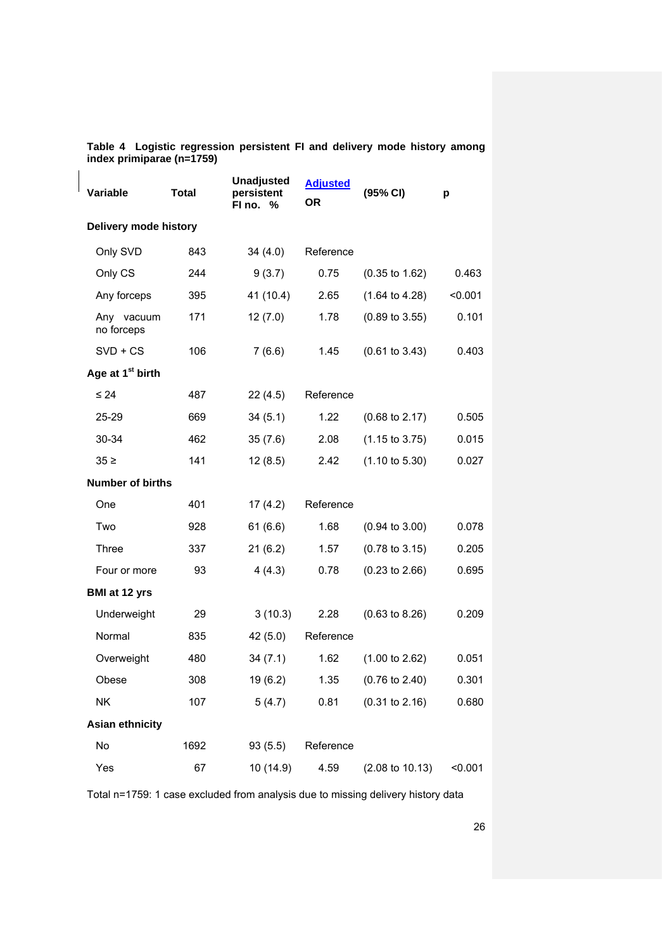| Variable                     | <b>Total</b> | <b>Unadjusted</b><br>persistent<br>FI no. % | <b>Adjusted</b><br><b>OR</b> | (95% CI)                   | р       |
|------------------------------|--------------|---------------------------------------------|------------------------------|----------------------------|---------|
| Delivery mode history        |              |                                             |                              |                            |         |
| Only SVD                     | 843          | 34(4.0)                                     | Reference                    |                            |         |
| Only CS                      | 244          | 9(3.7)                                      | 0.75                         | $(0.35 \text{ to } 1.62)$  | 0.463   |
| Any forceps                  | 395          | 41 (10.4)                                   | 2.65                         | $(1.64 \text{ to } 4.28)$  | < 0.001 |
| Any vacuum<br>no forceps     | 171          | 12(7.0)                                     | 1.78                         | $(0.89 \text{ to } 3.55)$  | 0.101   |
| $SVD + CS$                   | 106          | 7(6.6)                                      | 1.45                         | $(0.61 \text{ to } 3.43)$  | 0.403   |
| Age at 1 <sup>st</sup> birth |              |                                             |                              |                            |         |
| $\leq 24$                    | 487          | 22(4.5)                                     | Reference                    |                            |         |
| $25 - 29$                    | 669          | 34(5.1)                                     | 1.22                         | $(0.68 \text{ to } 2.17)$  | 0.505   |
| 30-34                        | 462          | 35(7.6)                                     | 2.08                         | $(1.15 \text{ to } 3.75)$  | 0.015   |
| $35 \geq$                    | 141          | 12(8.5)                                     | 2.42                         | $(1.10 \text{ to } 5.30)$  | 0.027   |
| <b>Number of births</b>      |              |                                             |                              |                            |         |
| One                          | 401          | 17 (4.2)                                    | Reference                    |                            |         |
| Two                          | 928          | 61(6.6)                                     | 1.68                         | $(0.94 \text{ to } 3.00)$  | 0.078   |
| Three                        | 337          | 21(6.2)                                     | 1.57                         | $(0.78 \text{ to } 3.15)$  | 0.205   |
| Four or more                 | 93           | 4(4.3)                                      | 0.78                         | $(0.23 \text{ to } 2.66)$  | 0.695   |
| <b>BMI at 12 yrs</b>         |              |                                             |                              |                            |         |
| Underweight                  | 29           | 3(10.3)                                     | 2.28                         | $(0.63 \text{ to } 8.26)$  | 0.209   |
| Normal                       | 835          | 42 (5.0)                                    | Reference                    |                            |         |
| Overweight                   | 480          | 34(7.1)                                     | 1.62                         | $(1.00 \text{ to } 2.62)$  | 0.051   |
| Obese                        | 308          | 19 (6.2)                                    | 1.35                         | $(0.76 \text{ to } 2.40)$  | 0.301   |
| NK                           | 107          | 5(4.7)                                      | 0.81                         | $(0.31$ to $2.16)$         | 0.680   |
| <b>Asian ethnicity</b>       |              |                                             |                              |                            |         |
| No                           | 1692         | 93(5.5)                                     | Reference                    |                            |         |
| Yes                          | 67           | 10 (14.9)                                   | 4.59                         | $(2.08 \text{ to } 10.13)$ | < 0.001 |

**Table 4 Logistic regression persistent FI and delivery mode history among index primiparae (n=1759)**

Total n=1759: 1 case excluded from analysis due to missing delivery history data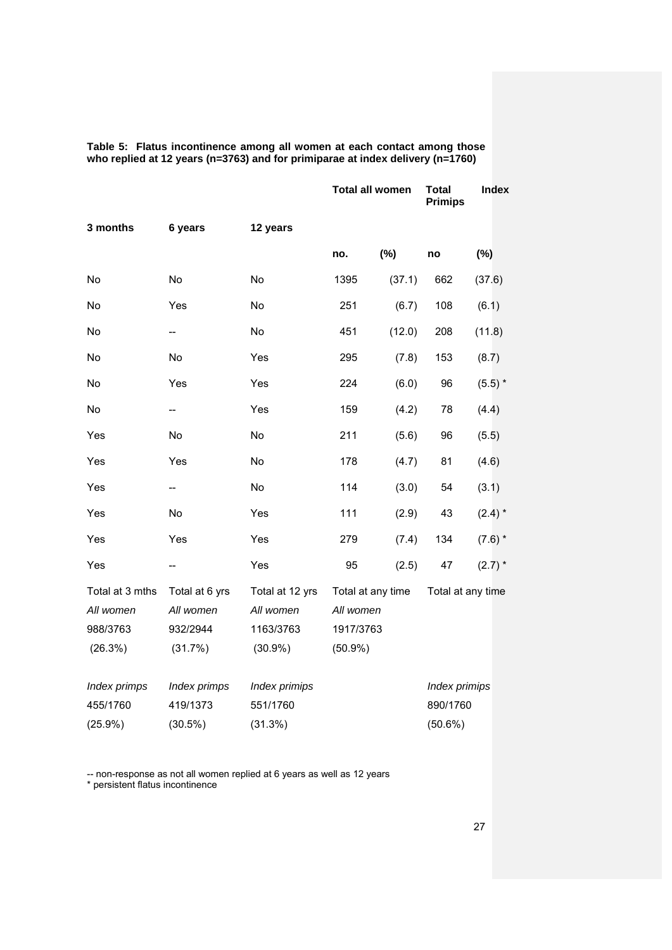|                                                     |                                                    |                                                         | <b>Total all women</b>                                    |        | <b>Total</b><br><b>Primips</b>          |           | Index |
|-----------------------------------------------------|----------------------------------------------------|---------------------------------------------------------|-----------------------------------------------------------|--------|-----------------------------------------|-----------|-------|
| 3 months                                            | 6 years                                            | 12 years                                                |                                                           |        |                                         |           |       |
|                                                     |                                                    |                                                         | no.                                                       | (%)    | no                                      | (%)       |       |
| No                                                  | No                                                 | No                                                      | 1395                                                      | (37.1) | 662                                     | (37.6)    |       |
| No                                                  | Yes                                                | No                                                      | 251                                                       | (6.7)  | 108                                     | (6.1)     |       |
| No                                                  | --                                                 | <b>No</b>                                               | 451                                                       | (12.0) | 208                                     | (11.8)    |       |
| No                                                  | No                                                 | Yes                                                     | 295                                                       | (7.8)  | 153                                     | (8.7)     |       |
| No                                                  | Yes                                                | Yes                                                     | 224                                                       | (6.0)  | 96                                      | $(5.5)$ * |       |
| No                                                  | --                                                 | Yes                                                     | 159                                                       | (4.2)  | 78                                      | (4.4)     |       |
| Yes                                                 | <b>No</b>                                          | <b>No</b>                                               | 211                                                       | (5.6)  | 96                                      | (5.5)     |       |
| Yes                                                 | Yes                                                | No                                                      | 178                                                       | (4.7)  | 81                                      | (4.6)     |       |
| Yes                                                 | --                                                 | No                                                      | 114                                                       | (3.0)  | 54                                      | (3.1)     |       |
| Yes                                                 | No                                                 | Yes                                                     | 111                                                       | (2.9)  | 43                                      | $(2.4)$ * |       |
| Yes                                                 | Yes                                                | Yes                                                     | 279                                                       | (7.4)  | 134                                     | $(7.6)$ * |       |
| Yes                                                 |                                                    | Yes                                                     | 95                                                        | (2.5)  | 47                                      | $(2.7)$ * |       |
| Total at 3 mths<br>All women<br>988/3763<br>(26.3%) | Total at 6 yrs<br>All women<br>932/2944<br>(31.7%) | Total at 12 yrs<br>All women<br>1163/3763<br>$(30.9\%)$ | Total at any time<br>All women<br>1917/3763<br>$(50.9\%)$ |        | Total at any time                       |           |       |
| Index primps<br>455/1760<br>$(25.9\%)$              | Index primps<br>419/1373<br>$(30.5\%)$             | Index primips<br>551/1760<br>(31.3%)                    |                                                           |        | Index primips<br>890/1760<br>$(50.6\%)$ |           |       |

**Table 5: Flatus incontinence among all women at each contact among those who replied at 12 years (n=3763) and for primiparae at index delivery (n=1760)** 

-- non-response as not all women replied at 6 years as well as 12 years

\* persistent flatus incontinence